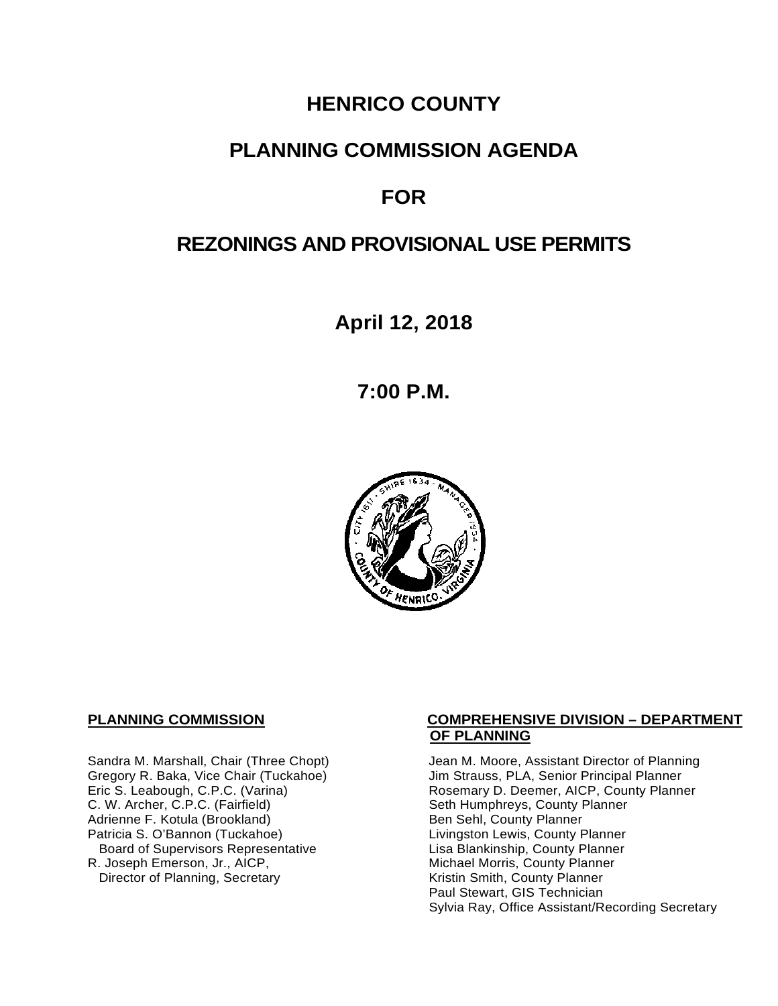# **HENRICO COUNTY**

## **PLANNING COMMISSION AGENDA**

# **FOR**

# **REZONINGS AND PROVISIONAL USE PERMITS**

**April 12, 2018**

**7:00 P.M.**



C. W. Archer, C.P.C. (Fairfield) Seth Humphreys, County I<br>Adrienne F. Kotula (Brookland) Seth Sehl, County Planner Adrienne F. Kotula (Brookland)<br>Patricia S. O'Bannon (Tuckahoe) Board of Supervisors Representative Lisa Blankinship, County Planner<br>R. Joseph Emerson, Jr., AICP, Michael Morris, County Planner Director of Planning, Secretary

#### **PLANNING COMMISSION COMPREHENSIVE DIVISION – DEPARTMENT OF PLANNING**

Sandra M. Marshall, Chair (Three Chopt) Jean M. Moore, Assistant Director of Planning<br>Gregory R. Baka, Vice Chair (Tuckahoe) Jim Strauss, PLA, Senior Principal Planner Gregory R. Baka, Vice Chair (Tuckahoe) Jim Strauss, PLA, Senior Principal Planner<br>
Eric S. Leabough, C.P.C. (Varina) Sand Brown Rosemary D. Deemer, AICP, County Planner Rosemary D. Deemer, AICP, County Planner<br>Seth Humphreys, County Planner Livingston Lewis, County Planner Michael Morris, County Planner<br>Kristin Smith, County Planner Paul Stewart, GIS Technician Sylvia Ray, Office Assistant/Recording Secretary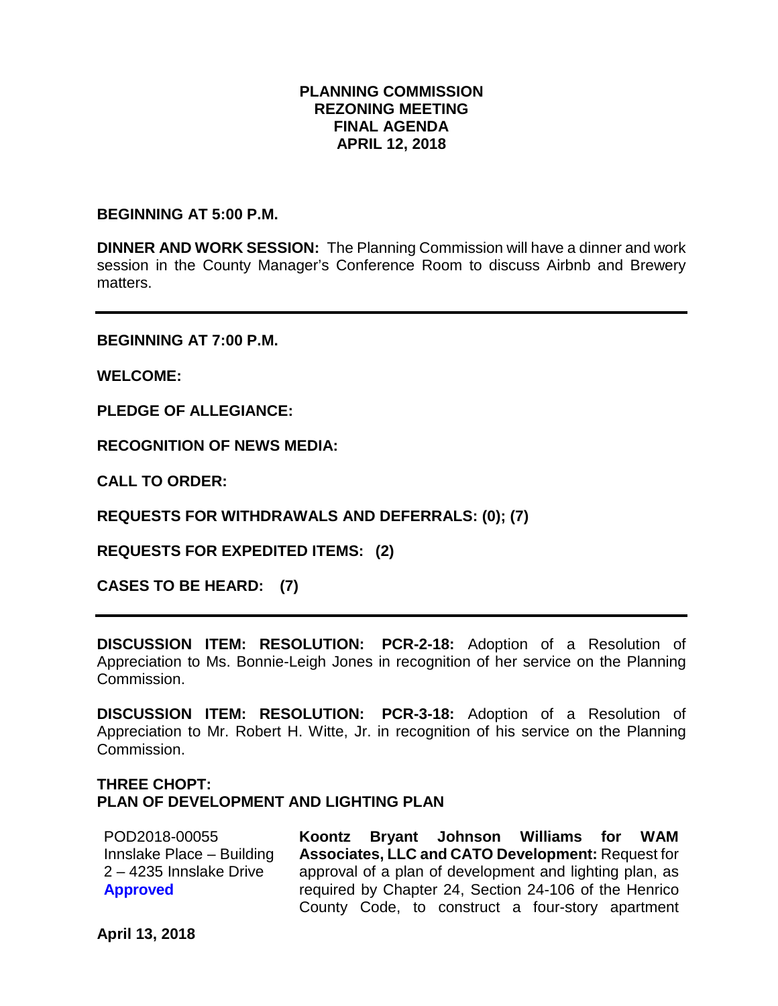#### **PLANNING COMMISSION REZONING MEETING FINAL AGENDA APRIL 12, 2018**

**BEGINNING AT 5:00 P.M.**

**DINNER AND WORK SESSION:** The Planning Commission will have a dinner and work session in the County Manager's Conference Room to discuss Airbnb and Brewery matters.

**BEGINNING AT 7:00 P.M.**

**WELCOME:**

**PLEDGE OF ALLEGIANCE:**

**RECOGNITION OF NEWS MEDIA:**

**CALL TO ORDER:**

**REQUESTS FOR WITHDRAWALS AND DEFERRALS: (0); (7)**

**REQUESTS FOR EXPEDITED ITEMS: (2)**

**CASES TO BE HEARD: (7)**

**DISCUSSION ITEM: RESOLUTION: PCR-2-18:** Adoption of a Resolution of Appreciation to Ms. Bonnie-Leigh Jones in recognition of her service on the Planning Commission.

**DISCUSSION ITEM: RESOLUTION: PCR-3-18:** Adoption of a Resolution of Appreciation to Mr. Robert H. Witte, Jr. in recognition of his service on the Planning Commission.

#### **THREE CHOPT: PLAN OF DEVELOPMENT AND LIGHTING PLAN**

POD2018-00055 Innslake Place – Building 2 – 4235 Innslake Drive **Approved Koontz Bryant Johnson Williams for WAM Associates, LLC and CATO Development:** Request for approval of a plan of development and lighting plan, as required by Chapter 24, Section 24-106 of the Henrico County Code, to construct a four-story apartment

**April 13, 2018**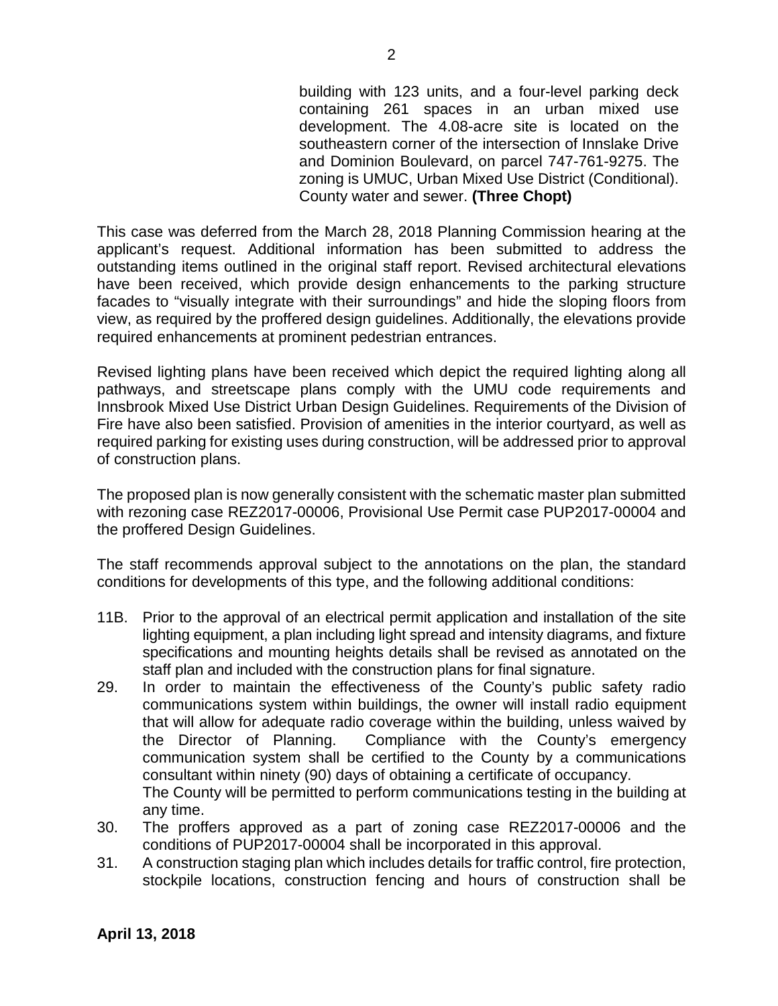building with 123 units, and a four-level parking deck containing 261 spaces in an urban mixed use development. The 4.08-acre site is located on the southeastern corner of the intersection of Innslake Drive and Dominion Boulevard, on parcel 747-761-9275. The zoning is UMUC, Urban Mixed Use District (Conditional). County water and sewer. **(Three Chopt)**

This case was deferred from the March 28, 2018 Planning Commission hearing at the applicant's request. Additional information has been submitted to address the outstanding items outlined in the original staff report. Revised architectural elevations have been received, which provide design enhancements to the parking structure facades to "visually integrate with their surroundings" and hide the sloping floors from view, as required by the proffered design guidelines. Additionally, the elevations provide required enhancements at prominent pedestrian entrances.

Revised lighting plans have been received which depict the required lighting along all pathways, and streetscape plans comply with the UMU code requirements and Innsbrook Mixed Use District Urban Design Guidelines. Requirements of the Division of Fire have also been satisfied. Provision of amenities in the interior courtyard, as well as required parking for existing uses during construction, will be addressed prior to approval of construction plans.

The proposed plan is now generally consistent with the schematic master plan submitted with rezoning case REZ2017-00006, Provisional Use Permit case PUP2017-00004 and the proffered Design Guidelines.

The staff recommends approval subject to the annotations on the plan, the standard conditions for developments of this type, and the following additional conditions:

- 11B. Prior to the approval of an electrical permit application and installation of the site lighting equipment, a plan including light spread and intensity diagrams, and fixture specifications and mounting heights details shall be revised as annotated on the staff plan and included with the construction plans for final signature.
- 29. In order to maintain the effectiveness of the County's public safety radio communications system within buildings, the owner will install radio equipment that will allow for adequate radio coverage within the building, unless waived by the Director of Planning. Compliance with the County's emergency communication system shall be certified to the County by a communications consultant within ninety (90) days of obtaining a certificate of occupancy. The County will be permitted to perform communications testing in the building at any time.
- 30. The proffers approved as a part of zoning case REZ2017-00006 and the conditions of PUP2017-00004 shall be incorporated in this approval.
- 31. A construction staging plan which includes details for traffic control, fire protection, stockpile locations, construction fencing and hours of construction shall be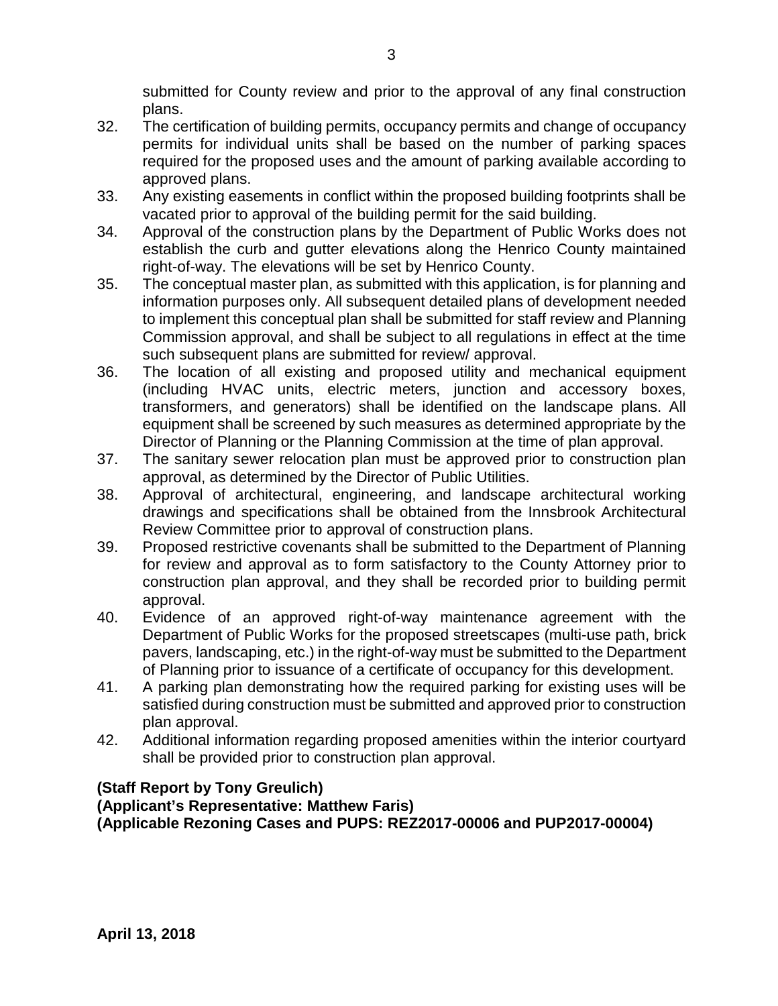submitted for County review and prior to the approval of any final construction plans.

- 32. The certification of building permits, occupancy permits and change of occupancy permits for individual units shall be based on the number of parking spaces required for the proposed uses and the amount of parking available according to approved plans.
- 33. Any existing easements in conflict within the proposed building footprints shall be vacated prior to approval of the building permit for the said building.
- 34. Approval of the construction plans by the Department of Public Works does not establish the curb and gutter elevations along the Henrico County maintained right-of-way. The elevations will be set by Henrico County.
- 35. The conceptual master plan, as submitted with this application, is for planning and information purposes only. All subsequent detailed plans of development needed to implement this conceptual plan shall be submitted for staff review and Planning Commission approval, and shall be subject to all regulations in effect at the time such subsequent plans are submitted for review/ approval.
- 36. The location of all existing and proposed utility and mechanical equipment (including HVAC units, electric meters, junction and accessory boxes, transformers, and generators) shall be identified on the landscape plans. All equipment shall be screened by such measures as determined appropriate by the Director of Planning or the Planning Commission at the time of plan approval.
- 37. The sanitary sewer relocation plan must be approved prior to construction plan approval, as determined by the Director of Public Utilities.
- 38. Approval of architectural, engineering, and landscape architectural working drawings and specifications shall be obtained from the Innsbrook Architectural Review Committee prior to approval of construction plans.
- 39. Proposed restrictive covenants shall be submitted to the Department of Planning for review and approval as to form satisfactory to the County Attorney prior to construction plan approval, and they shall be recorded prior to building permit approval.
- 40. Evidence of an approved right-of-way maintenance agreement with the Department of Public Works for the proposed streetscapes (multi-use path, brick pavers, landscaping, etc.) in the right-of-way must be submitted to the Department of Planning prior to issuance of a certificate of occupancy for this development.
- 41. A parking plan demonstrating how the required parking for existing uses will be satisfied during construction must be submitted and approved prior to construction plan approval.
- 42. Additional information regarding proposed amenities within the interior courtyard shall be provided prior to construction plan approval.

### **(Staff Report by Tony Greulich)**

**(Applicant's Representative: Matthew Faris) (Applicable Rezoning Cases and PUPS: REZ2017-00006 and PUP2017-00004)**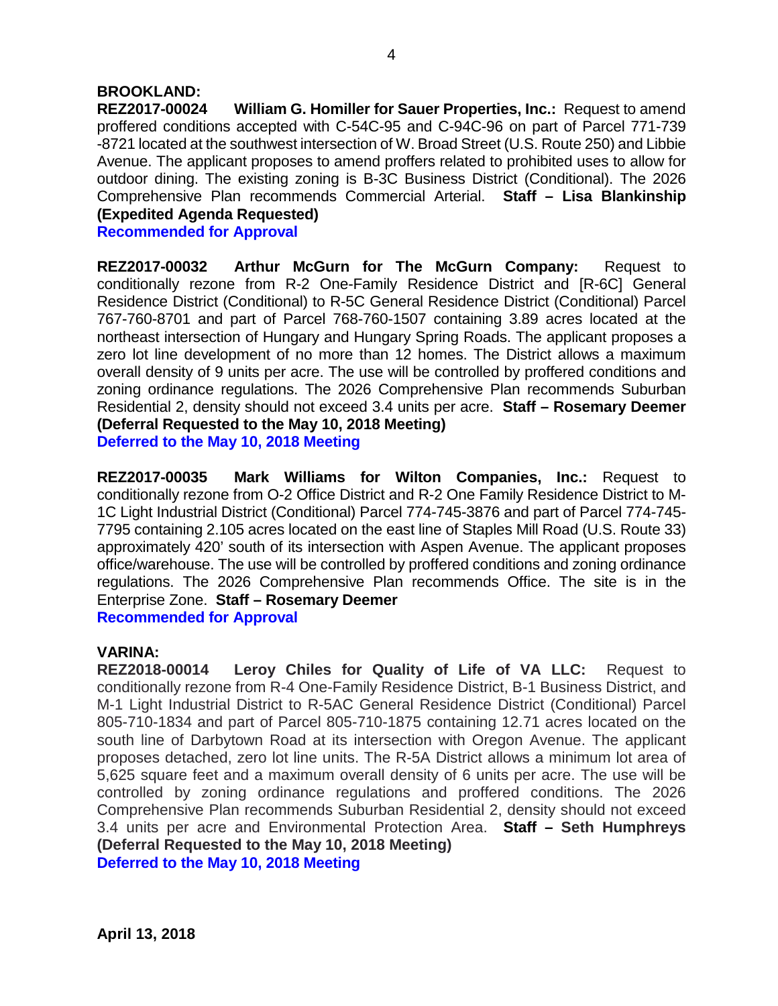#### **BROOKLAND:**

**REZ2017-00024 William G. Homiller for Sauer Properties, Inc.:** Request to amend proffered conditions accepted with C-54C-95 and C-94C-96 on part of Parcel 771-739 -8721 located at the southwest intersection of W. Broad Street (U.S. Route 250) and Libbie Avenue. The applicant proposes to amend proffers related to prohibited uses to allow for outdoor dining. The existing zoning is B-3C Business District (Conditional). The 2026 Comprehensive Plan recommends Commercial Arterial. **Staff – Lisa Blankinship (Expedited Agenda Requested)**

**Recommended for Approval**

**REZ2017-00032 Arthur McGurn for The McGurn Company:** Request to conditionally rezone from R-2 One-Family Residence District and [R-6C] General Residence District (Conditional) to R-5C General Residence District (Conditional) Parcel 767-760-8701 and part of Parcel 768-760-1507 containing 3.89 acres located at the northeast intersection of Hungary and Hungary Spring Roads. The applicant proposes a zero lot line development of no more than 12 homes. The District allows a maximum overall density of 9 units per acre. The use will be controlled by proffered conditions and zoning ordinance regulations. The 2026 Comprehensive Plan recommends Suburban Residential 2, density should not exceed 3.4 units per acre. **Staff – Rosemary Deemer (Deferral Requested to the May 10, 2018 Meeting) Deferred to the May 10, 2018 Meeting**

**REZ2017-00035 Mark Williams for Wilton Companies, Inc.:** Request to conditionally rezone from O-2 Office District and R-2 One Family Residence District to M-1C Light Industrial District (Conditional) Parcel 774-745-3876 and part of Parcel 774-745- 7795 containing 2.105 acres located on the east line of Staples Mill Road (U.S. Route 33) approximately 420' south of its intersection with Aspen Avenue. The applicant proposes office/warehouse. The use will be controlled by proffered conditions and zoning ordinance regulations. The 2026 Comprehensive Plan recommends Office. The site is in the Enterprise Zone. **Staff – Rosemary Deemer Recommended for Approval**

#### **VARINA:**

**REZ2018-00014 Leroy Chiles for Quality of Life of VA LLC:** Request to conditionally rezone from R-4 One-Family Residence District, B-1 Business District, and M-1 Light Industrial District to R-5AC General Residence District (Conditional) Parcel 805-710-1834 and part of Parcel 805-710-1875 containing 12.71 acres located on the south line of Darbytown Road at its intersection with Oregon Avenue. The applicant proposes detached, zero lot line units. The R-5A District allows a minimum lot area of 5,625 square feet and a maximum overall density of 6 units per acre. The use will be controlled by zoning ordinance regulations and proffered conditions. The 2026 Comprehensive Plan recommends Suburban Residential 2, density should not exceed 3.4 units per acre and Environmental Protection Area. **Staff – Seth Humphreys (Deferral Requested to the May 10, 2018 Meeting) Deferred to the May 10, 2018 Meeting**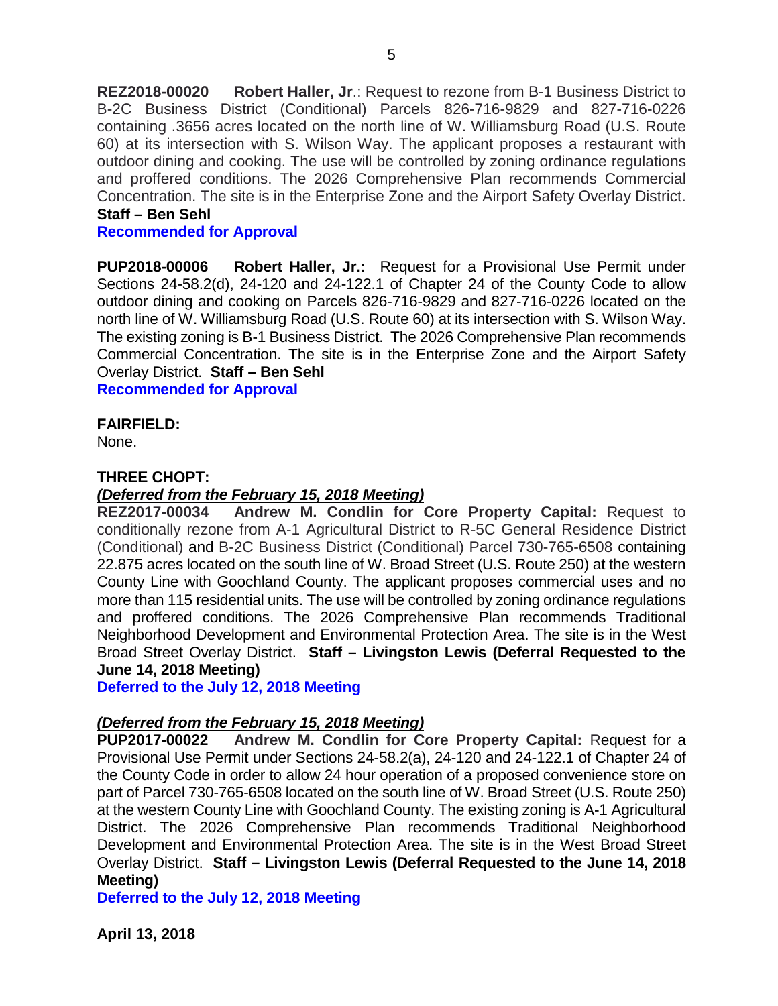**REZ2018-00020 Robert Haller, Jr**.: Request to rezone from B-1 Business District to B-2C Business District (Conditional) Parcels 826-716-9829 and 827-716-0226 containing .3656 acres located on the north line of W. Williamsburg Road (U.S. Route 60) at its intersection with S. Wilson Way. The applicant proposes a restaurant with outdoor dining and cooking. The use will be controlled by zoning ordinance regulations and proffered conditions. The 2026 Comprehensive Plan recommends Commercial Concentration. The site is in the Enterprise Zone and the Airport Safety Overlay District. **Staff – Ben Sehl**

#### **Recommended for Approval**

**PUP2018-00006 Robert Haller, Jr.:** Request for a Provisional Use Permit under Sections 24-58.2(d), 24-120 and 24-122.1 of Chapter 24 of the County Code to allow outdoor dining and cooking on Parcels 826-716-9829 and 827-716-0226 located on the north line of W. Williamsburg Road (U.S. Route 60) at its intersection with S. Wilson Way. The existing zoning is B-1 Business District. The 2026 Comprehensive Plan recommends Commercial Concentration. The site is in the Enterprise Zone and the Airport Safety Overlay District. **Staff – Ben Sehl**

**Recommended for Approval**

**FAIRFIELD:**

None.

#### **THREE CHOPT:**

#### *(Deferred from the February 15, 2018 Meeting)*

**REZ2017-00034 Andrew M. Condlin for Core Property Capital:** Request to conditionally rezone from A-1 Agricultural District to R-5C General Residence District (Conditional) and B-2C Business District (Conditional) Parcel 730-765-6508 containing 22.875 acres located on the south line of W. Broad Street (U.S. Route 250) at the western County Line with Goochland County. The applicant proposes commercial uses and no more than 115 residential units. The use will be controlled by zoning ordinance regulations and proffered conditions. The 2026 Comprehensive Plan recommends Traditional Neighborhood Development and Environmental Protection Area. The site is in the West Broad Street Overlay District. **Staff – Livingston Lewis (Deferral Requested to the June 14, 2018 Meeting)**

**Deferred to the July 12, 2018 Meeting**

#### *(Deferred from the February 15, 2018 Meeting)*

**PUP2017-00022 Andrew M. Condlin for Core Property Capital:** Request for a Provisional Use Permit under Sections 24-58.2(a), 24-120 and 24-122.1 of Chapter 24 of the County Code in order to allow 24 hour operation of a proposed convenience store on part of Parcel 730-765-6508 located on the south line of W. Broad Street (U.S. Route 250) at the western County Line with Goochland County. The existing zoning is A-1 Agricultural District. The 2026 Comprehensive Plan recommends Traditional Neighborhood Development and Environmental Protection Area. The site is in the West Broad Street Overlay District. **Staff – Livingston Lewis (Deferral Requested to the June 14, 2018 Meeting)**

**Deferred to the July 12, 2018 Meeting**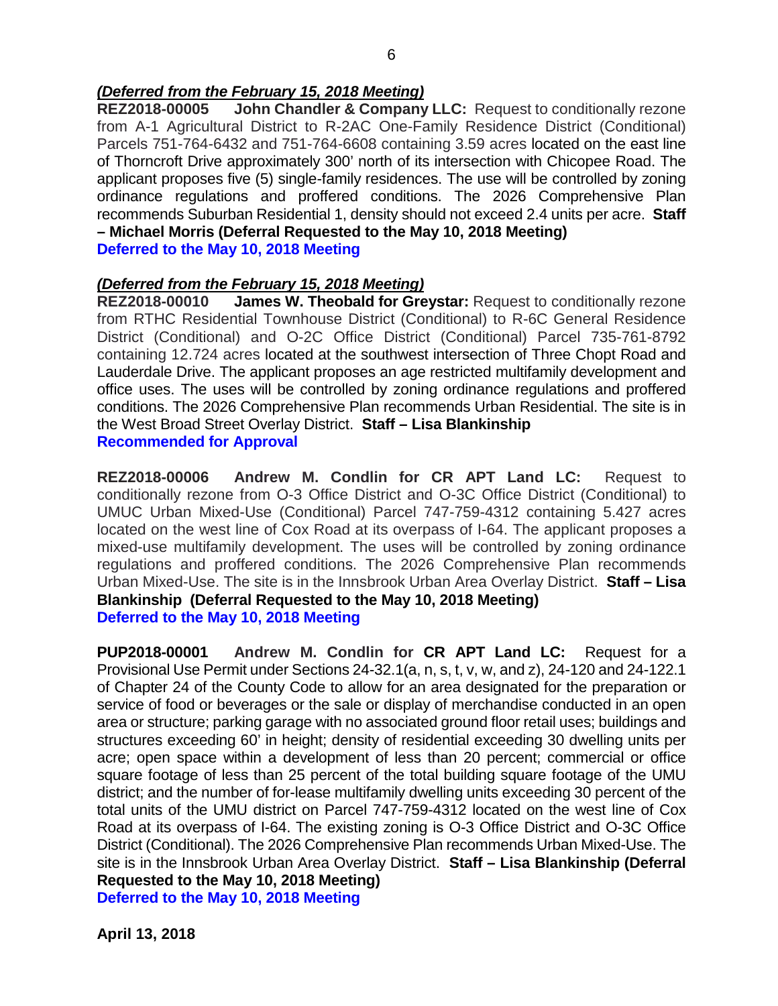#### *(Deferred from the February 15, 2018 Meeting)*

**REZ2018-00005 John Chandler & Company LLC:** Request to conditionally rezone from A-1 Agricultural District to R-2AC One-Family Residence District (Conditional) Parcels 751-764-6432 and 751-764-6608 containing 3.59 acres located on the east line of Thorncroft Drive approximately 300' north of its intersection with Chicopee Road. The applicant proposes five (5) single-family residences. The use will be controlled by zoning ordinance regulations and proffered conditions. The 2026 Comprehensive Plan recommends Suburban Residential 1, density should not exceed 2.4 units per acre. **Staff – Michael Morris (Deferral Requested to the May 10, 2018 Meeting)**

**Deferred to the May 10, 2018 Meeting**

#### *(Deferred from the February 15, 2018 Meeting)*

**REZ2018-00010 James W. Theobald for Greystar:** Request to conditionally rezone from RTHC Residential Townhouse District (Conditional) to R-6C General Residence District (Conditional) and O-2C Office District (Conditional) Parcel 735-761-8792 containing 12.724 acres located at the southwest intersection of Three Chopt Road and Lauderdale Drive. The applicant proposes an age restricted multifamily development and office uses. The uses will be controlled by zoning ordinance regulations and proffered conditions. The 2026 Comprehensive Plan recommends Urban Residential. The site is in the West Broad Street Overlay District. **Staff – Lisa Blankinship Recommended for Approval**

**REZ2018-00006 Andrew M. Condlin for CR APT Land LC:** Request to conditionally rezone from O-3 Office District and O-3C Office District (Conditional) to UMUC Urban Mixed-Use (Conditional) Parcel 747-759-4312 containing 5.427 acres located on the west line of Cox Road at its overpass of I-64. The applicant proposes a mixed-use multifamily development. The uses will be controlled by zoning ordinance regulations and proffered conditions. The 2026 Comprehensive Plan recommends Urban Mixed-Use. The site is in the Innsbrook Urban Area Overlay District. **Staff – Lisa Blankinship (Deferral Requested to the May 10, 2018 Meeting) Deferred to the May 10, 2018 Meeting**

**PUP2018-00001 Andrew M. Condlin for CR APT Land LC:** Request for a Provisional Use Permit under Sections 24-32.1(a, n, s, t, v, w, and z), 24-120 and 24-122.1 of Chapter 24 of the County Code to allow for an area designated for the preparation or service of food or beverages or the sale or display of merchandise conducted in an open area or structure; parking garage with no associated ground floor retail uses; buildings and structures exceeding 60' in height; density of residential exceeding 30 dwelling units per acre; open space within a development of less than 20 percent; commercial or office square footage of less than 25 percent of the total building square footage of the UMU district; and the number of for-lease multifamily dwelling units exceeding 30 percent of the total units of the UMU district on Parcel 747-759-4312 located on the west line of Cox Road at its overpass of I-64. The existing zoning is O-3 Office District and O-3C Office District (Conditional). The 2026 Comprehensive Plan recommends Urban Mixed-Use. The site is in the Innsbrook Urban Area Overlay District. **Staff – Lisa Blankinship (Deferral Requested to the May 10, 2018 Meeting) Deferred to the May 10, 2018 Meeting**

**April 13, 2018**